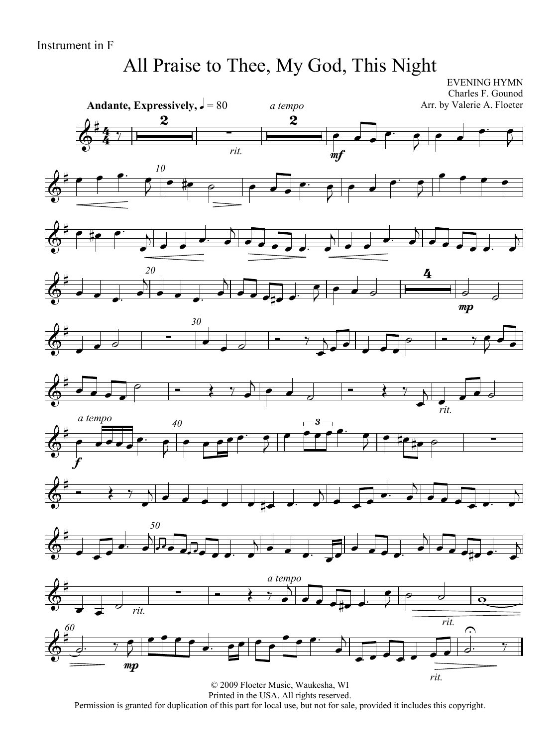# All Praise to Thee, My God, This Night

EVENING HYMN

 $\overline{4}$  $\frac{4}{4}$ **Andante, Expressively,**  $J = 80$ Charles F. Gounod Arr. by Valerie A. Floeter  $6\frac{1}{4}$  $\begin{array}{c|c} \hline \textbf{2} & \textbf{5} \\ \hline \end{array}$ *rit.*  $\boldsymbol{2}$ *a tempo* mf  $\overrightarrow{\cdot}$  $\begin{array}{ccc} \bullet & \bullet & \bullet \end{array}$  $\overline{P}$  $\overrightarrow{\cdot}$  $\overrightarrow{ }$  $\bar{\!\!\vec{Z}}$ *10*  $6 - 7$  $\frac{1}{2}$   $\frac{1}{2}$   $\frac{1}{2}$   $\frac{1}{2}$   $\frac{1}{2}$   $\frac{1}{2}$  $\bullet$   $\bullet$  $\overline{P}$   $\bullet$   $\bullet$  $\overline{2}$  $\bullet$   $\bullet$   $\bullet$  $\frac{\partial}{\partial t}$  ie i  $\overrightarrow{a}$  $\overline{A}$  $\overrightarrow{z}$   $\overrightarrow{ }$  $\overline{B}$  $\overrightarrow{z}$  $\overline{b}$ *20*  $\delta^*$  $\overrightarrow{a}$  $\overrightarrow{a}$  $\overline{A}$  $\overline{\cdot}$   $\overline{\cdot}$   $\overline{\cdot}$   $\overline{\cdot}$  $\begin{array}{|c|c|c|c|}\hline \hspace{.1in} & \bullet & \circ \end{array}$ <u>4</u> mp  $\overrightarrow{a}$ *30*  $\frac{\partial}{\partial t}$  $\begin{array}{|c|c|c|c|c|}\n\hline\n\hline\n\hline\n\end{array}$  $\bullet$  d  $\bullet$  y  $\overline{\phantom{a}}$  $\sum$  $\overrightarrow{ }$  $\circ$  - 7  $\overrightarrow{ }$  $\frac{\partial}{\partial t}$  $\overrightarrow{a}$  $\circ$   $\qquad \bullet$   $\circ$  *rit.*  $\sum_{i,j}$ *40* 香 f *a tempo*  $\bullet\bullet\bullet\bullet$  $\begin{array}{ccc} \bullet & \bullet \end{array}$ ₹  $\bullet$   $\bullet$   $\bullet$   $\bullet$   $\bullet$   $\bullet$   $\bullet$  $\overline{2}$  $\overline{\phantom{a}}$ 3  $\frac{1}{2}$  |  $\frac{1}{2}$  +  $\frac{1}{2}$  +  $\frac{1}{2}$  +  $\frac{1}{2}$  +  $\frac{1}{2}$  +  $\frac{1}{2}$  $6 - 37$  $\overline{\phantom{a}}$   $\overrightarrow{a}$  $\overline{A}$  $\overrightarrow{a}$  $\overline{b}$ *50*  $\frac{\partial}{\partial t}$  $\overrightarrow{ }$  $\begin{array}{ccc} & & & & & & \sqrt{11} & & & \ & & & & & & \sqrt{11} & & \ \hline & 0 & 0 & 0 & 0 & 0 & 0 & 0 \\ \hline & 0 & 0 & 0 & 0 & 0 & 0 & 0 & 0 \\ \hline & 0 & 0 & 0 & 0 & 0 & 0 & 0 & 0 \\ \hline & 0 & 0 & 0 & 0 & 0 & 0 & 0 & 0 \\ \hline \end{array}$  $\overrightarrow{a}$  $\begin{array}{ccc} \searrow & & \searrow & \\ \searrow & & \searrow & \\ \searrow & & \searrow & \\ \searrow & & \searrow & \\ \searrow & & \searrow & \\ \searrow & & \searrow & \\ \searrow & & \searrow & \\ \searrow & & \searrow & \\ \searrow & & \searrow & \\ \searrow & & \searrow & \\ \searrow & & \searrow & \\ \searrow & & \searrow & \\ \searrow & & \searrow & \\ \searrow & & \searrow & \\ \searrow & & \searrow & \\ \searrow & & \searrow & \\ \searrow & & \searrow & \\ \searrow & & \searrow & \\ \searrow & & \searrow & \\ \searrow & & \searrow & \\ \searrow & & \searrow & \\ \searrow$  $\overrightarrow{a}$  $\overline{B}$  $\overrightarrow{e}$   $\overrightarrow{e}$   $\overrightarrow{e}$  $\overline{\mathbf{b}}$ 长  $\overrightarrow{ }$  *rit.*  $\overrightarrow{a}$ *a tempo*  $\overrightarrow{y}$  $\overline{\phantom{a}}$  $\frac{1}{2}$ *rit.*  $\frac{1}{\sqrt{2}}$ *60*  $\oint_0^{\frac{1}{4}}$  $e^{\frac{1}{2}}$ mp  $\overline{\bullet}$  $\bar{\vec{z}}$  $\frac{1}{\sqrt{2}}$  $\overline{\phantom{a}}$  or  $\overline{\phantom{a}}$  $\bullet$   $\bullet$   $\bullet$   $\bullet$  $\overline{B}$  $\overrightarrow{z}$ *rit.*  $\overrightarrow{e}$ م.  $\frac{1}{\sqrt{2}}$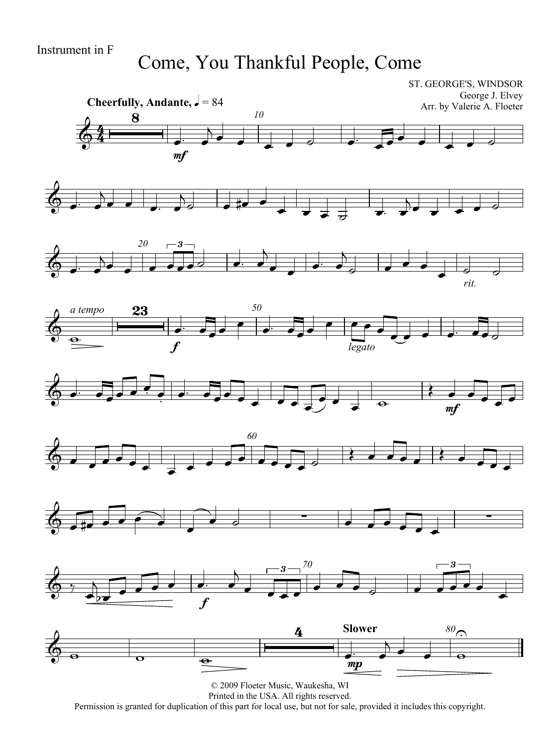Come, You Thankful People, Come

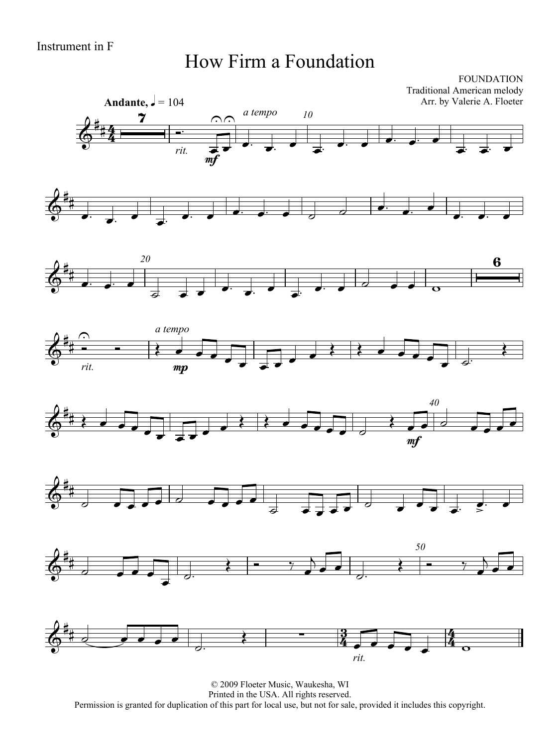#### How Firm a Foundation

FOUNDATION Traditional American melody Arr. by Valerie A. Floeter















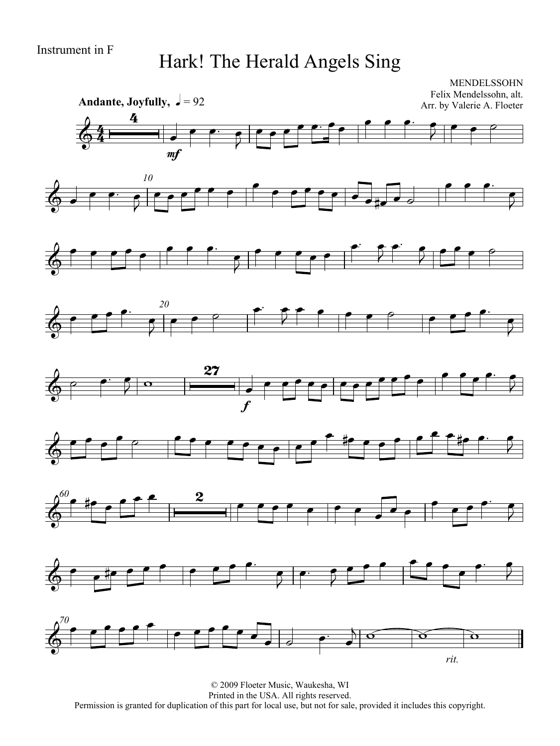## Hark! The Herald Angels Sing

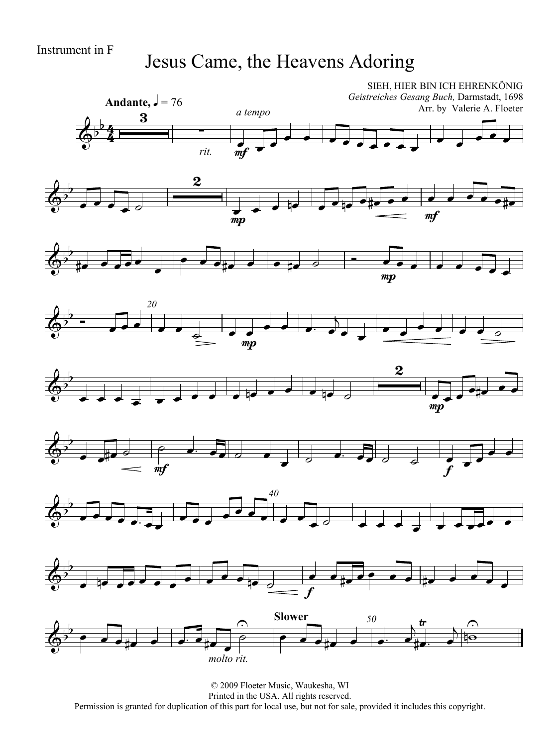## Jesus Came, the Heavens Adoring

















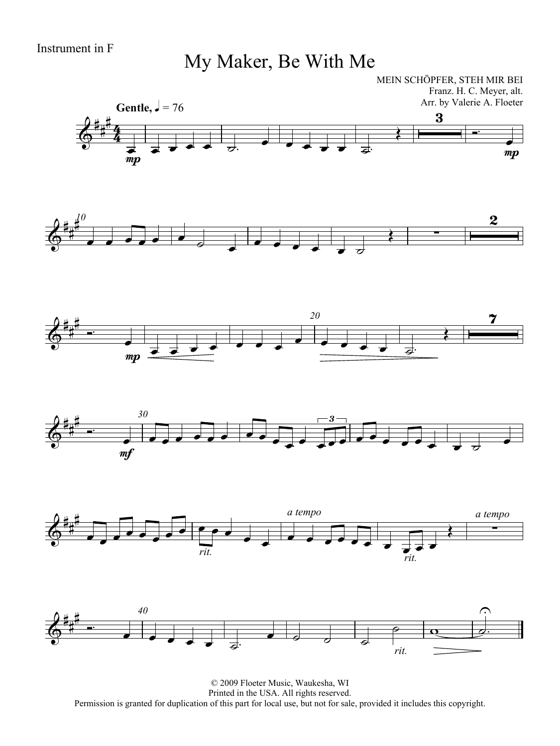My Maker, Be With Me

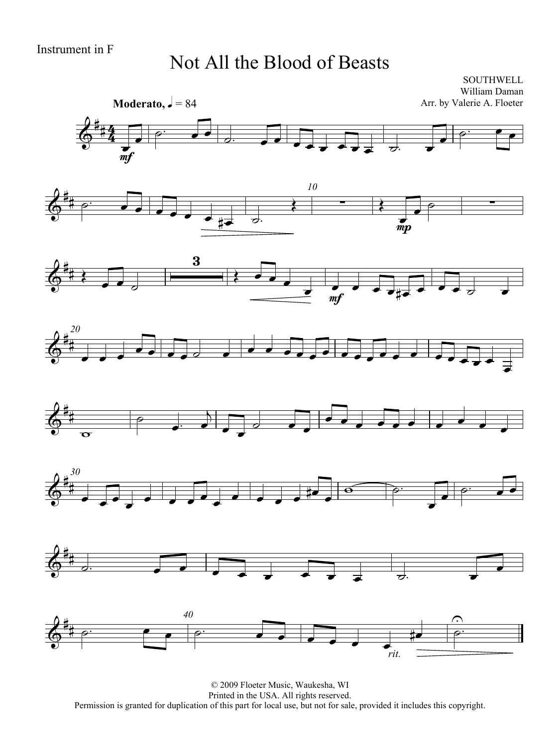#### Not All the Blood of Beasts

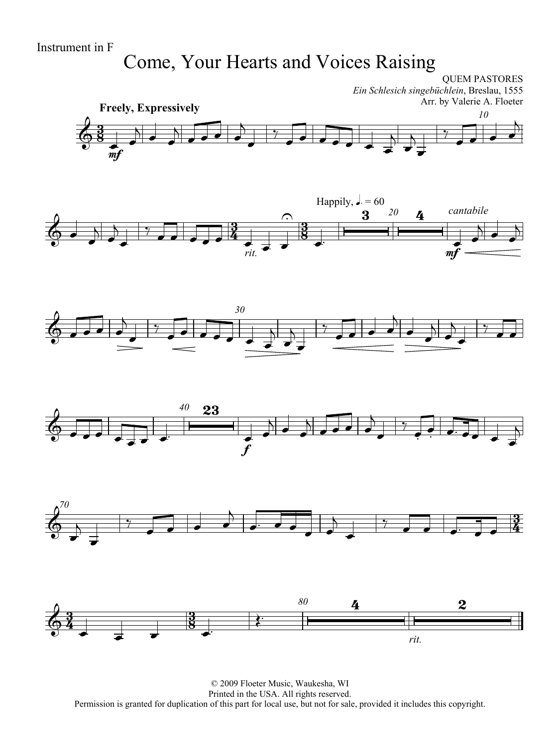## Come, Your Hearts and Voices Raising











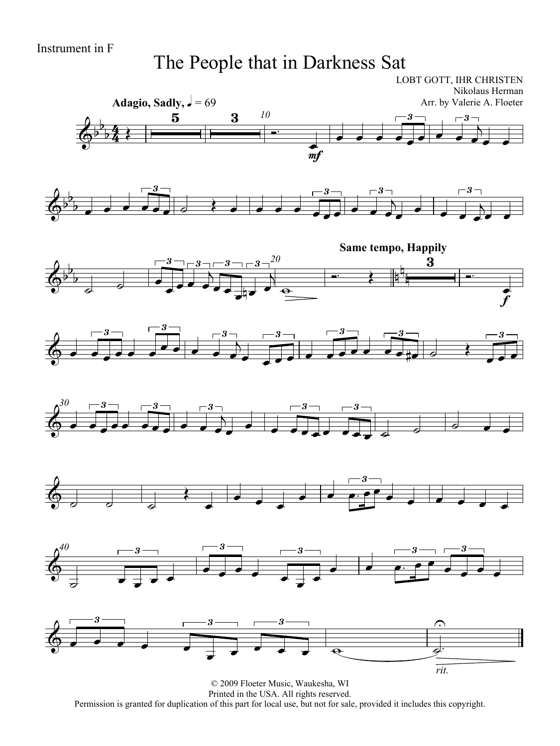### The People that in Darkness Sat



© 2009 Floeter Music, Waukesha, WI Printed in the USA. All rights reserved. Permission is granted for duplication of this part for local use, but not for sale, provided it includes this copyright.